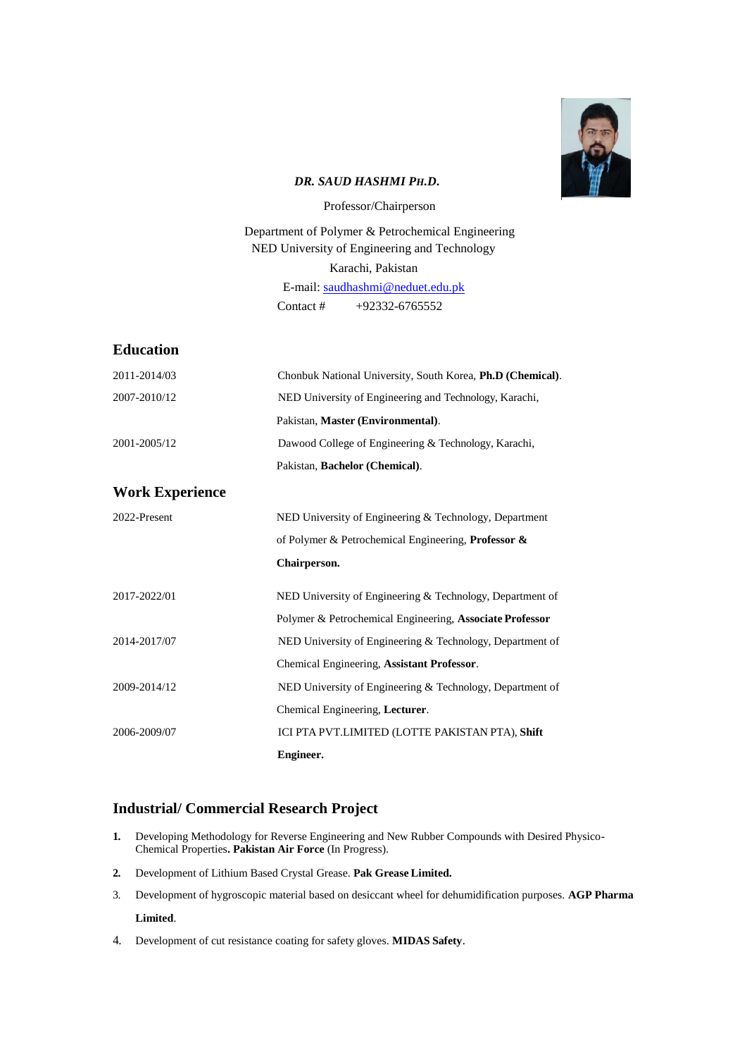

### *DR. SAUD HASHMI PH.D***.**

Professor/Chairperson

Department of Polymer & Petrochemical Engineering NED University of Engineering and Technology Karachi, Pakistan E-mail: [saudhashmi@neduet.edu.pk](mailto:saudhashmi@neduet.edu.pk) Contact # +92332-6765552

## **Education**

| 2011-2014/03           | Chonbuk National University, South Korea, Ph.D (Chemical). |
|------------------------|------------------------------------------------------------|
| 2007-2010/12           | NED University of Engineering and Technology, Karachi,     |
|                        | Pakistan, Master (Environmental).                          |
| 2001-2005/12           | Dawood College of Engineering & Technology, Karachi,       |
|                        | Pakistan, Bachelor (Chemical).                             |
| <b>Work Experience</b> |                                                            |
| 2022-Present           | NED University of Engineering & Technology, Department     |
|                        | of Polymer & Petrochemical Engineering, Professor &        |
|                        | Chairperson.                                               |
| 2017-2022/01           | NED University of Engineering & Technology, Department of  |
|                        | Polymer & Petrochemical Engineering, Associate Professor   |
| 2014-2017/07           | NED University of Engineering & Technology, Department of  |
|                        | Chemical Engineering, Assistant Professor.                 |
| 2009-2014/12           | NED University of Engineering & Technology, Department of  |
|                        | Chemical Engineering, Lecturer.                            |
| 2006-2009/07           | ICI PTA PVT.LIMITED (LOTTE PAKISTAN PTA), Shift            |
|                        | Engineer.                                                  |

# **Industrial/ Commercial Research Project**

- **1.** Developing Methodology for Reverse Engineering and New Rubber Compounds with Desired Physico-Chemical Properties**. Pakistan Air Force** (In Progress).
- **2.** Development of Lithium Based Crystal Grease. **Pak Grease Limited.**
- 3. Development of hygroscopic material based on desiccant wheel for dehumidification purposes. **AGP Pharma Limited**.
- 4. Development of cut resistance coating for safety gloves. **MIDAS Safety**.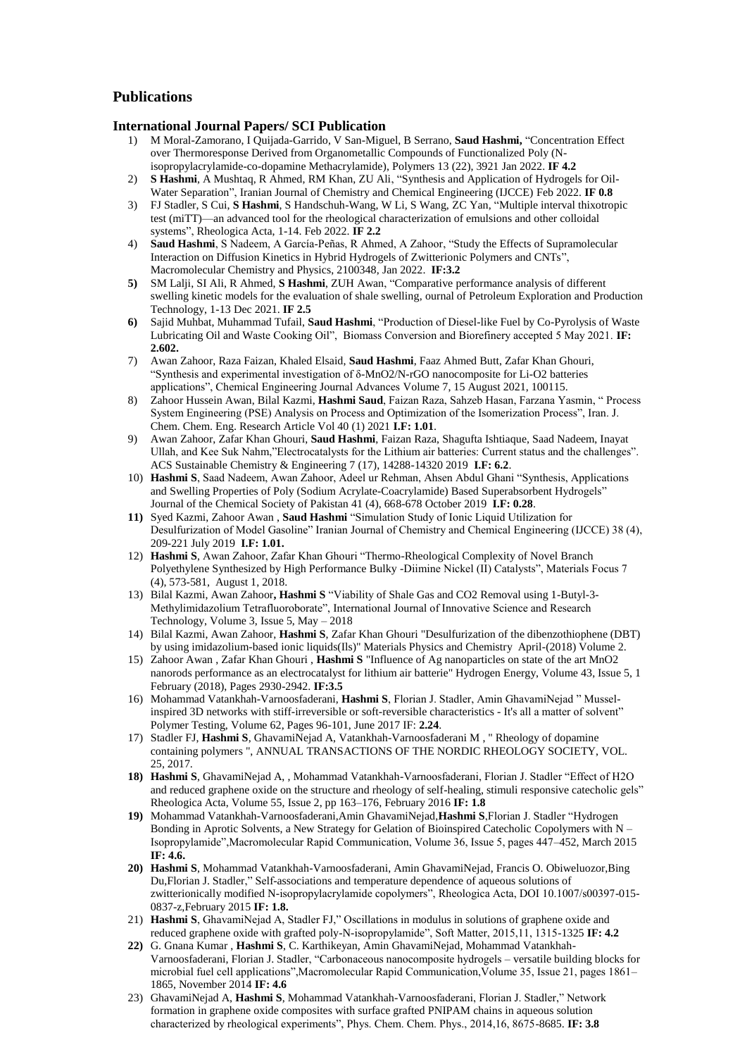# **Publications**

#### **International Journal Papers/ SCI Publication**

- 1) M Moral-Zamorano, I Quijada-Garrido, V San-Miguel, B Serrano, Saud Hashmi, "Concentration Effect [over Thermoresponse Derived from Organometallic Compounds of Functionalized Poly \(N](https://scholar.google.com.pk/citations?view_op=view_citation&hl=en&user=jkY6djgAAAAJ&sortby=pubdate&citation_for_view=jkY6djgAAAAJ:ZeXyd9-uunAC)[isopropylacrylamide-co-dopamine Methacrylamide\),](https://scholar.google.com.pk/citations?view_op=view_citation&hl=en&user=jkY6djgAAAAJ&sortby=pubdate&citation_for_view=jkY6djgAAAAJ:ZeXyd9-uunAC) Polymers 13 (22), 3921 Jan 2022. **IF 4.2**
- 2) **S Hashmi**, A Mushtaq, R Ahmed, RM Khan, ZU Ali, "Synthesis and Application of Hydrogels for Oil-Water Separation", Iranian Journal of Chemistry and Chemical Engineering (IJCCE) Feb 2022. **IF 0.8**
- 3) FJ Stadler, S Cui, S Hashmi, S Handschuh-Wang, W Li, S Wang, ZC Yan, "Multiple interval thixotropic [test \(miTT\)—an advanced tool for the rheological characterization of emulsions and other colloidal](https://scholar.google.com.pk/citations?view_op=view_citation&hl=en&user=jkY6djgAAAAJ&sortby=pubdate&citation_for_view=jkY6djgAAAAJ:hC7cP41nSMkC)  [systems‖](https://scholar.google.com.pk/citations?view_op=view_citation&hl=en&user=jkY6djgAAAAJ&sortby=pubdate&citation_for_view=jkY6djgAAAAJ:hC7cP41nSMkC), Rheologica Acta, 1-14. Feb 2022. **IF 2.2**
- 4) **Saud Hashmi**, S Nadeem, A García-Peñas, R Ahmed, A Zahoor, "Study the Effects of Supramolecular Interaction on Diffusion Kinetics in Hybrid Hydrogels of Zwitterionic Polymers and CNTs", Macromolecular Chemistry and Physics, 2100348, Jan 2022. **IF:3.2**
- 5) SM Lalji, SI Ali, R Ahmed, S Hashmi, ZUH Awan, "Comparative performance analysis of different [swelling kinetic models for the evaluation of shale swelling,](https://scholar.google.com.pk/citations?view_op=view_citation&hl=en&user=jkY6djgAAAAJ&sortby=pubdate&citation_for_view=jkY6djgAAAAJ:IWHjjKOFINEC) ournal of Petroleum Exploration and Production Technology, 1-13 Dec 2021. **IF 2.5**
- 6) Sajid Muhbat, Muhammad Tufail, Saud Hashmi, "Production of Diesel-like Fuel by Co-Pyrolysis of Waste Lubricating Oil and Waste Cooking Oil", Biomass Conversion and Biorefinery accepted 5 May 2021. IF: **2.602.**
- 7) Awan Zahoor, Raza Faizan, Khaled Elsaid, **Saud Hashmi**, Faaz Ahmed Butt, Zafar Khan Ghouri, ―Synthesis and experimental investigation of δ-MnO2/N-rGO nanocomposite for Li-O2 batteries applications‖, Chemical Engineering Journal Advances [Volume 7,](https://www.sciencedirect.com/science/journal/26668211/7/supp/C) 15 August 2021, 100115.
- 8) Zahoor Hussein Awan, Bilal Kazmi, Hashmi Saud, Faizan Raza, Sahzeb Hasan, Farzana Yasmin, "Process System Engineering (PSE) Analysis on Process and Optimization of the Isomerization Process", Iran. J. Chem. Chem. Eng. Research Article Vol 40 (1) 2021 **I.F: 1.01**.
- 9) Awan Zahoor, Zafar Khan Ghouri, **Saud Hashmi**, Faizan Raza, Shagufta Ishtiaque, Saad Nadeem, Inayat Ullah, and Kee Suk Nahm,"Electrocatalysts for the Lithium air batteries: Current status and the challenges". ACS Sustainable Chemistry & Engineering 7 (17), 14288-14320 2019 **I.F: 6.2**.
- 10) Hashmi S, Saad Nadeem, Awan Zahoor, Adeel ur Rehman, Ahsen Abdul Ghani "Synthesis, Applications and Swelling Properties of Poly (Sodium Acrylate-Coacrylamide) Based Superabsorbent Hydrogels" Journal of the Chemical Society of Pakistan 41 (4), 668-678 October 2019 **I.F: 0.28**.
- 11) [Syed Kazmi,](http://www.ijcce.ac.ir/?_action=article&au=200918&_au=syed++kazmi) [Zahoor Awan](http://www.ijcce.ac.ir/?_action=article&au=200931&_au=zahoor++awan), [Saud Hashmi](http://www.ijcce.ac.ir/?_action=article&au=143948&_au=Saud++Hashmi) "Simulation Study of Ionic Liquid Utilization for Desulfurization of Model Gasoline" Iranian Journal of Chemistry and Chemical Engineering (IJCCE) 38 (4), 209-221 July 2019 **I.F: 1.01.**
- 12) Hashmi S, Awan Zahoor, Zafar Khan Ghouri "Thermo-Rheological Complexity of Novel Branch Polyethylene Synthesized by High Performance Bulky -Diimine Nickel (II) Catalysts", Materials Focus 7 (4), 573-581, August 1, 2018.
- 13) Bilal Kazmi, Awan Zahoor, Hashmi S "Viability of Shale Gas and CO2 Removal using 1-Butyl-3-Methylimidazolium Tetrafluoroborate", International Journal of Innovative Science and Research Technology, Volume 3, Issue 5, May – 2018
- 14) Bilal Kazmi, Awan Zahoor, **Hashmi S**, Zafar Khan Ghouri "Desulfurization of the dibenzothiophene (DBT) by using imidazolium-based ionic liquids(Ils)" Materials Physics and Chemistry April-(2018) Volume 2.
- 15) Zahoor Awan , Zafar Khan Ghouri , **Hashmi S** "Influence of Ag nanoparticles on state of the art MnO2 nanorods performance as an electrocatalyst for lithium air batterie" Hydrogen Energy, Volume 43, Issue 5, 1 February (2018), Pages 2930-2942. **IF:3.5**
- 16) Mohammad Vatankhah-Varnoosfaderani, Hashmi S, Florian J. Stadler, Amin GhavamiNejad "Musselinspired 3D networks with stiff-irreversible or soft-reversible characteristics - It's all a matter of solvent" Polymer Testing, Volume 62, Pages 96-101, June 2017 IF: **2.24**.
- 17) Stadler FJ, **Hashmi S**, GhavamiNejad A, Vatankhah-Varnoosfaderani M , " Rheology of dopamine containing polymers ", ANNUAL TRANSACTIONS OF THE NORDIC RHEOLOGY SOCIETY, VOL. 25, 2017.
- 18) Hashmi S, GhavamiNejad A, , Mohammad Vatankhah-Varnoosfaderani, Florian J. Stadler "Effect of H2O and reduced graphene oxide on the structure and rheology of self-healing, stimuli responsive catecholic gels" Rheologica Acta, Volume 55, Issue 2, pp 163–176, February 2016 **IF: 1.8**
- 19) Mohammad Vatankhah-Varnoosfaderani,Amin GhavamiNejad,Hashmi S,Florian J. Stadler "Hydrogen Bonding in Aprotic Solvents, a New Strategy for Gelation of Bioinspired Catecholic Copolymers with N – Isopropylamide‖,Macromolecular Rapid Communication, Volume 36, Issue 5, pages 447–452, March 2015 **IF: 4.6.**
- **20) Hashmi S**, Mohammad Vatankhah-Varnoosfaderani, Amin GhavamiNejad, Francis O. Obiweluozor,Bing Du,Florian J. Stadler," Self-associations and temperature dependence of aqueous solutions of zwitterionically modified N-isopropylacrylamide copolymers", Rheologica Acta, DOI 10.1007/s00397-015-0837-z,February 2015 **IF: 1.8.**
- 21) Hashmi S, GhavamiNejad A, Stadler FJ," Oscillations in modulus in solutions of graphene oxide and reduced graphene oxide with grafted poly-N-isopropylamide", Soft Matter, 2015,11, 1315-1325 IF: 4.2
- **22)** G. Gnana Kumar , **Hashmi S**, C. Karthikeyan, Amin GhavamiNejad, Mohammad Vatankhah-Varnoosfaderani, Florian J. Stadler, "Carbonaceous nanocomposite hydrogels – versatile building blocks for microbial fuel cell applications",Macromolecular Rapid Communication,Volume 35, Issue 21, pages 1861– 1865, November 2014 **IF: 4.6**
- 23) GhavamiNejad A, Hashmi S, Mohammad Vatankhah-Varnoosfaderani, Florian J. Stadler," Network formation in graphene oxide composites with surface grafted PNIPAM chains in aqueous solution characterized by rheological experiments", Phys. Chem. Chem. Phys., 2014,16, 8675-8685. **IF: 3.8**